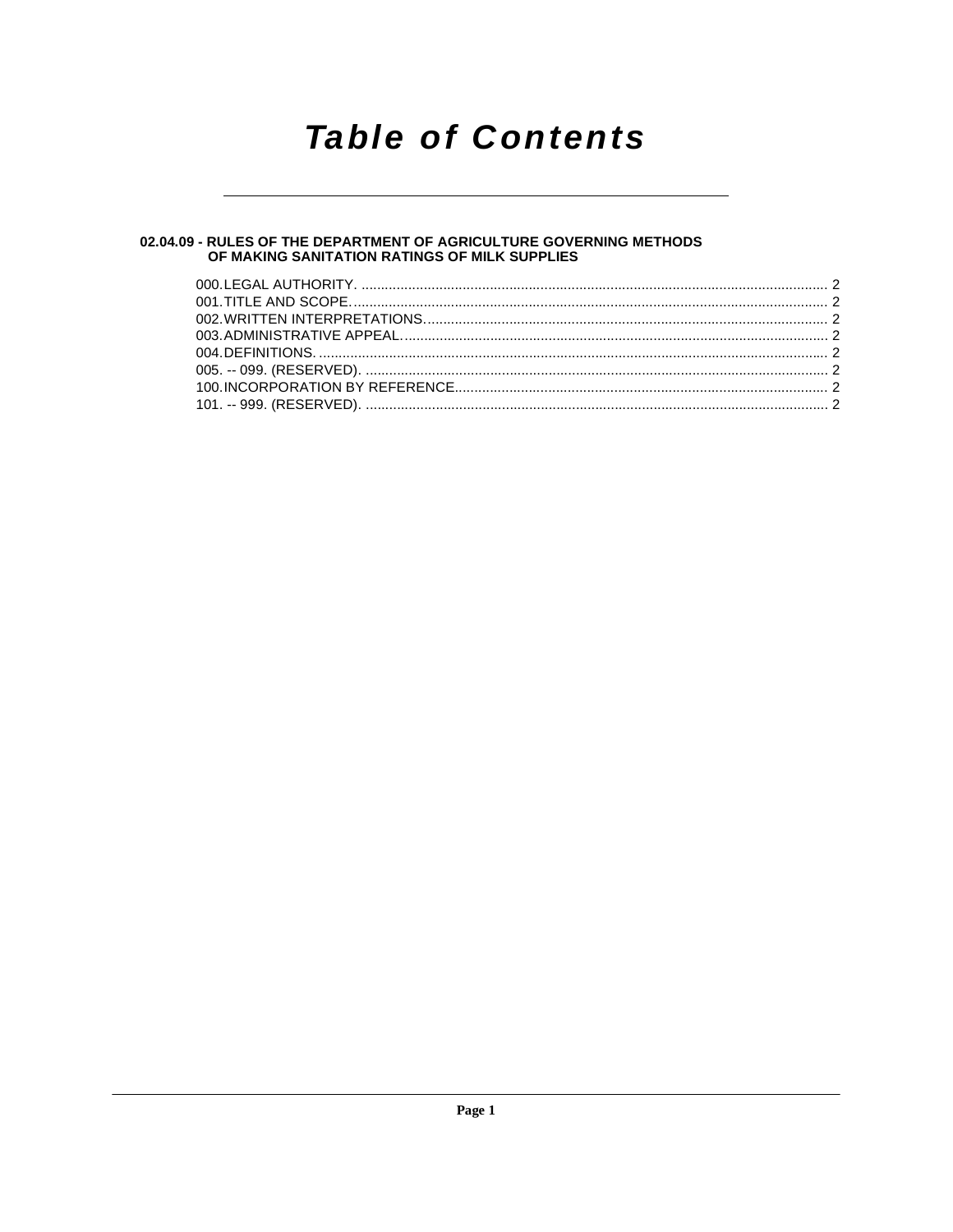## **Table of Contents**

### 02.04.09 - RULES OF THE DEPARTMENT OF AGRICULTURE GOVERNING METHODS<br>OF MAKING SANITATION RATINGS OF MILK SUPPLIES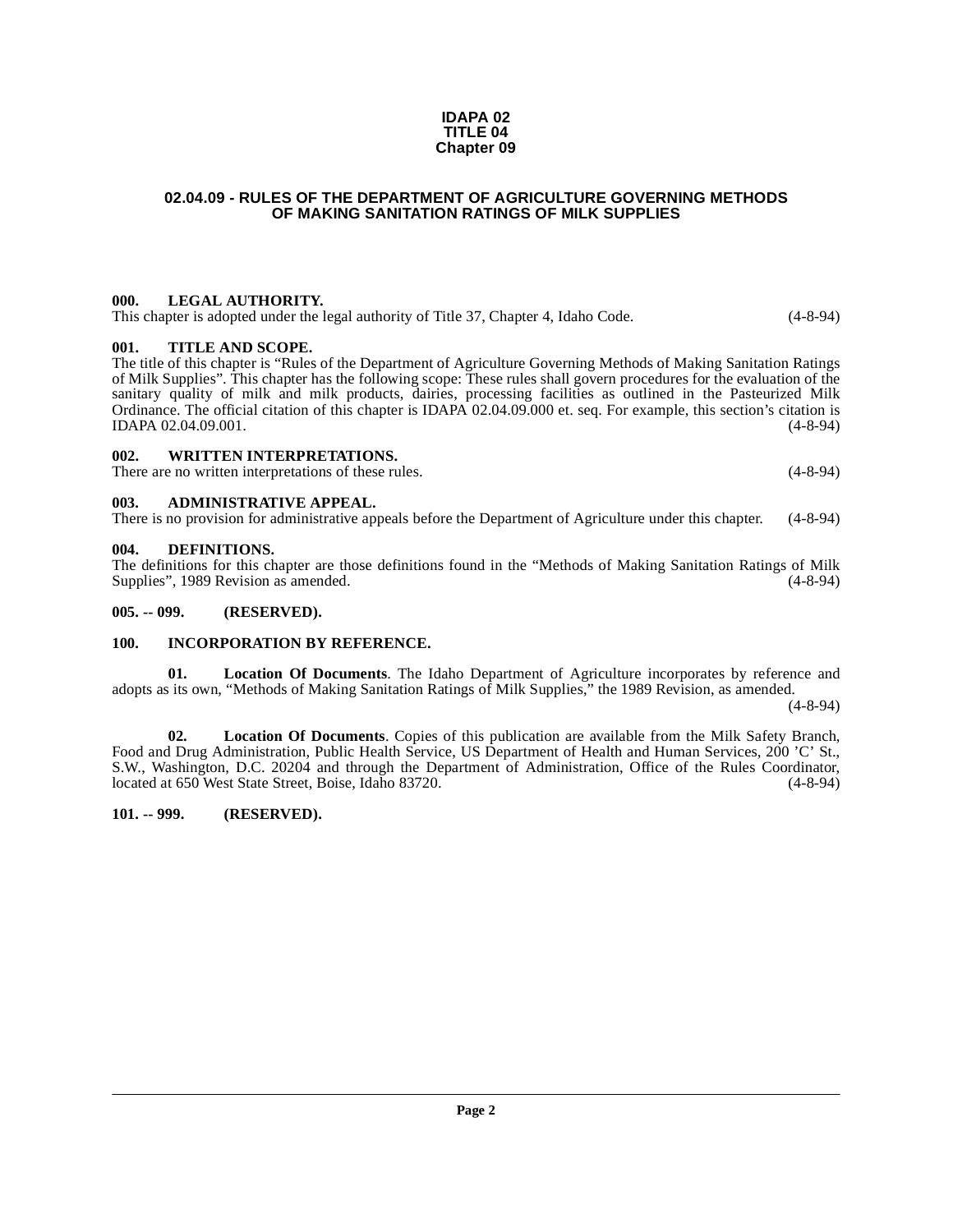#### **IDAPA 02 TITLE 04 Chapter 09**

#### <span id="page-1-0"></span>**02.04.09 - RULES OF THE DEPARTMENT OF AGRICULTURE GOVERNING METHODS OF MAKING SANITATION RATINGS OF MILK SUPPLIES**

#### <span id="page-1-1"></span>**000. LEGAL AUTHORITY.**

This chapter is adopted under the legal authority of Title 37, Chapter 4, Idaho Code. (4-8-94)

#### <span id="page-1-2"></span>**001. TITLE AND SCOPE.**

The title of this chapter is "Rules of the Department of Agriculture Governing Methods of Making Sanitation Ratings of Milk Supplies". This chapter has the following scope: These rules shall govern procedures for the evaluation of the sanitary quality of milk and milk products, dairies, processing facilities as outlined in the Pasteurized Milk Ordinance. The official citation of this chapter is IDAPA 02.04.09.000 et. seq. For example, this section's citation is IDAPA 02.04.09.001. (4-8-94) IDAPA 02.04.09.001.

#### <span id="page-1-3"></span>**002. WRITTEN INTERPRETATIONS.**

There are no written interpretations of these rules. (4-8-94)

#### <span id="page-1-4"></span>**003. ADMINISTRATIVE APPEAL.**

There is no provision for administrative appeals before the Department of Agriculture under this chapter. (4-8-94)

#### <span id="page-1-9"></span><span id="page-1-5"></span>**004. DEFINITIONS.**

The definitions for this chapter are those definitions found in the "Methods of Making Sanitation Ratings of Milk Supplies", 1989 Revision as amended.

#### <span id="page-1-6"></span>**005. -- 099. (RESERVED).**

#### <span id="page-1-10"></span><span id="page-1-7"></span>**100. INCORPORATION BY REFERENCE.**

<span id="page-1-11"></span>**01. Location Of Documents**. The Idaho Department of Agriculture incorporates by reference and adopts as its own, "Methods of Making Sanitation Ratings of Milk Supplies," the 1989 Revision, as amended.

 $(4 - 8 - 94)$ 

**02. Location Of Documents**. Copies of this publication are available from the Milk Safety Branch, Food and Drug Administration, Public Health Service, US Department of Health and Human Services, 200 'C' St., S.W., Washington, D.C. 20204 and through the Department of Administration, Office of the Rules Coordinator, located at 650 West State Street, Boise, Idaho 83720. (4-8-94)

#### <span id="page-1-8"></span>**101. -- 999. (RESERVED).**